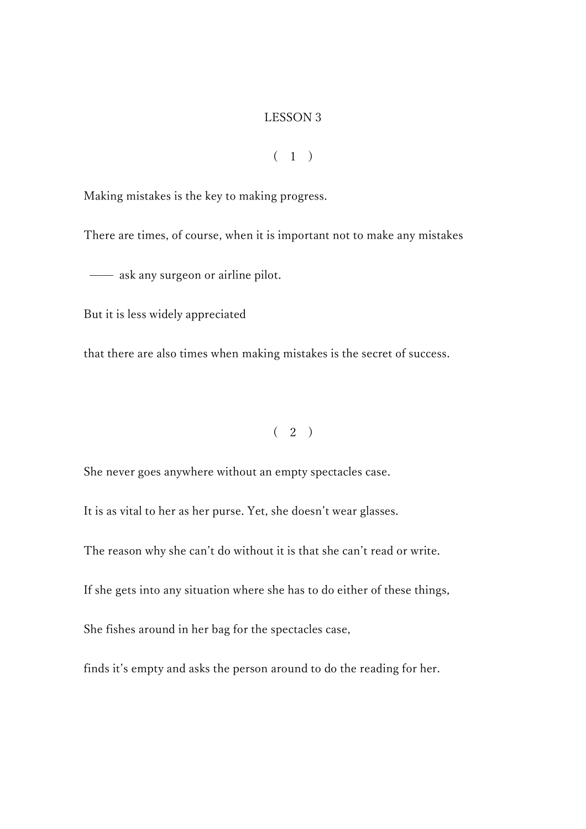#### LESSON 3

### $(1)$

Making mistakes is the key to making progress.

There are times, of course, when it is important not to make any mistakes

— ask any surgeon or airline pilot.

But it is less widely appreciated

that there are also times when making mistakes is the secret of success.

 $(2)$ 

She never goes anywhere without an empty spectacles case.

It is as vital to her as her purse. Yet, she doesn't wear glasses.

The reason why she can't do without it is that she can't read or write.

If she gets into any situation where she has to do either of these things,

She fishes around in her bag for the spectacles case,

finds it's empty and asks the person around to do the reading for her.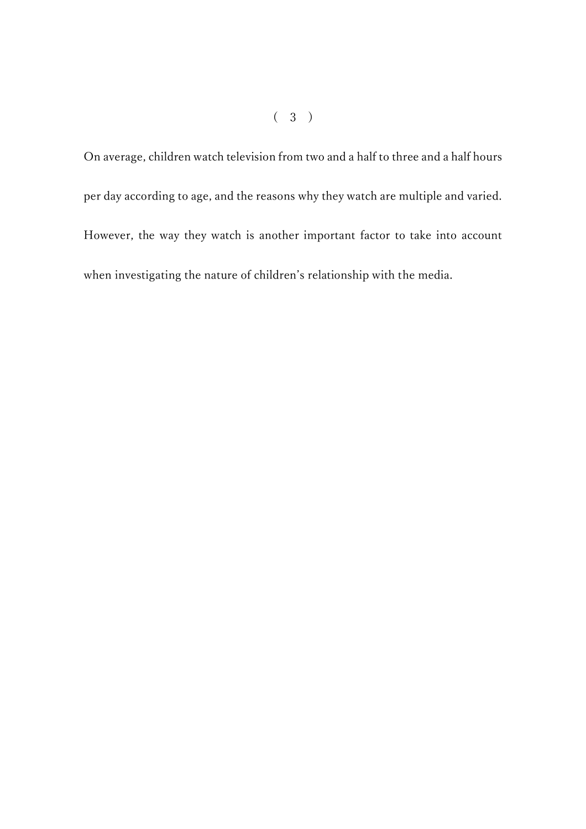On average, children watch television from two and a half to three and a half hours per day according to age, and the reasons why they watch are multiple and varied. However, the way they watch is another important factor to take into account when investigating the nature of children's relationship with the media.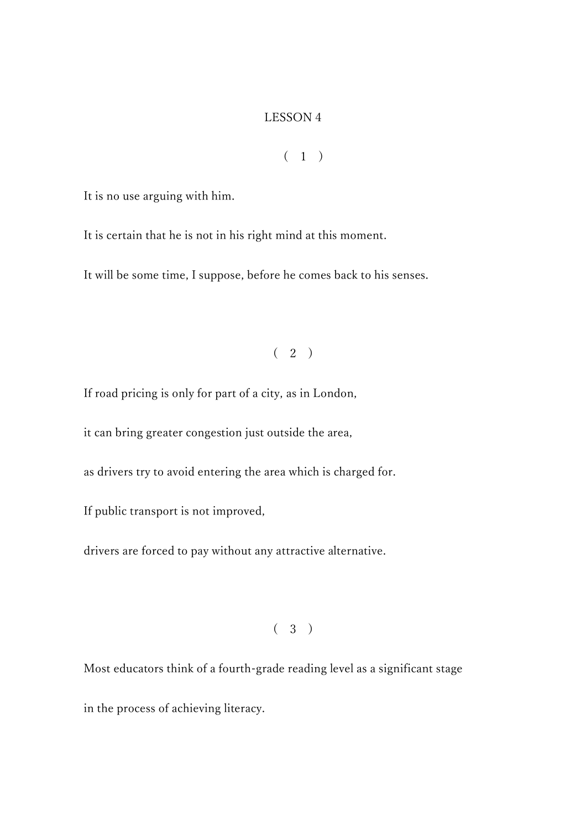### LESSON 4

## $(1)$

It is no use arguing with him.

It is certain that he is not in his right mind at this moment.

It will be some time, I suppose, before he comes back to his senses.

# $(2)$

If road pricing is only for part of a city, as in London,

it can bring greater congestion just outside the area,

as drivers try to avoid entering the area which is charged for.

If public transport is not improved,

drivers are forced to pay without any attractive alternative.

( 3 )

Most educators think of a fourth-grade reading level as a significant stage

in the process of achieving literacy.